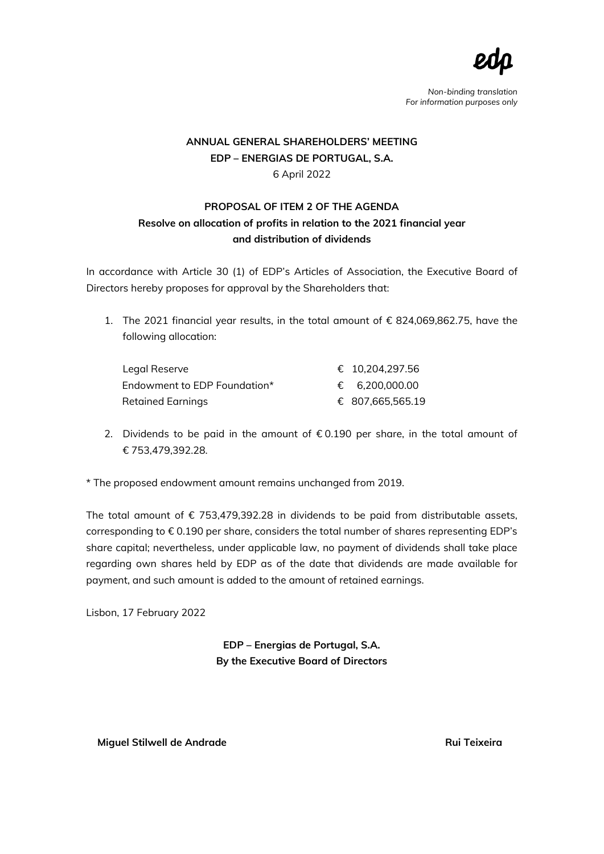

## **ANNUAL GENERAL SHAREHOLDERS' MEETING EDP – ENERGIAS DE PORTUGAL, S.A.** 6 April 2022

## **PROPOSAL OF ITEM 2 OF THE AGENDA Resolve on allocation of profits in relation to the 2021 financial year and distribution of dividends**

In accordance with Article 30 (1) of EDP's Articles of Association, the Executive Board of Directors hereby proposes for approval by the Shareholders that:

1. The 2021 financial year results, in the total amount of € 824,069,862.75, have the following allocation:

| Legal Reserve                | € 10.204.297.56  |
|------------------------------|------------------|
| Endowment to EDP Foundation* | € 6.200.000.00   |
| Retained Earnings            | € 807,665,565.19 |

- 2. Dividends to be paid in the amount of  $\epsilon$  0.190 per share, in the total amount of € 753,479,392.28.
- \* The proposed endowment amount remains unchanged from 2019.

The total amount of  $\epsilon$  753,479,392.28 in dividends to be paid from distributable assets, corresponding to € 0.190 per share, considers the total number of shares representing EDP's share capital; nevertheless, under applicable law, no payment of dividends shall take place regarding own shares held by EDP as of the date that dividends are made available for payment, and such amount is added to the amount of retained earnings.

Lisbon, 17 February 2022

**EDP – Energias de Portugal, S.A. By the Executive Board of Directors**

 **Miguel Stilwell de Andrade Rui Teixeira**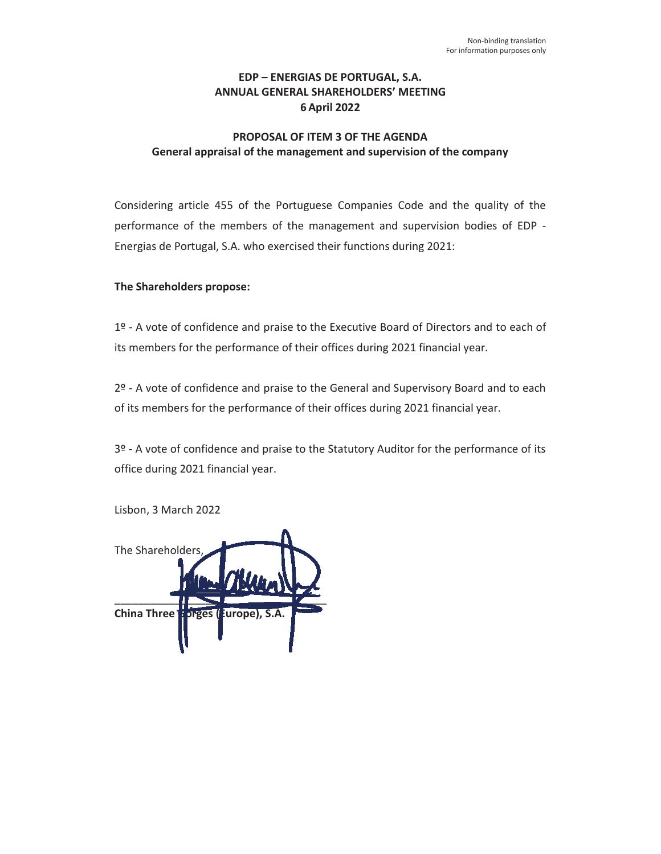## **EDP – ENERGIAS DE PORTUGAL, S.A. ANNUAL GENERAL SHAREHOLDERS' MEETING 6 April 2022**

## **PROPOSAL OF ITEM 3 OF THE AGENDA General appraisal of the management and supervision of the company**

Considering article 455 of the Portuguese Companies Code and the quality of the performance of the members of the management and supervision bodies of EDP - Energias de Portugal, S.A. who exercised their functions during 2021:

### **The Shareholders propose:**

1º - A vote of confidence and praise to the Executive Board of Directors and to each of its members for the performance of their offices during 2021 financial year.

2º - A vote of confidence and praise to the General and Supervisory Board and to each of its members for the performance of their offices during 2021 financial year.

3º - A vote of confidence and praise to the Statutory Auditor for the performance of its office during 2021 financial year.

Lisbon, 3 March 2022

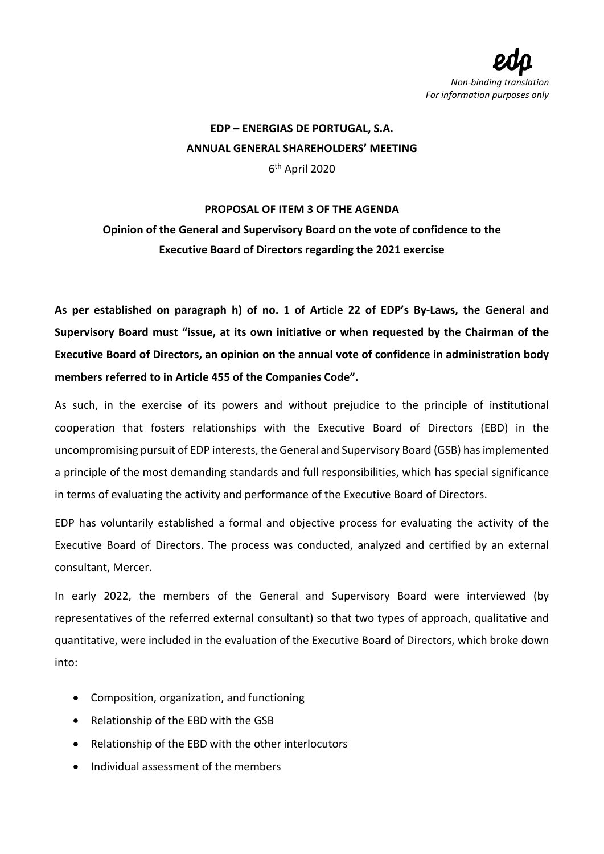

**EDP – ENERGIAS DE PORTUGAL, S.A. ANNUAL GENERAL SHAREHOLDERS' MEETING** 6th April 2020

## **PROPOSAL OF ITEM 3 OF THE AGENDA**

# **Opinion of the General and Supervisory Board on the vote of confidence to the Executive Board of Directors regarding the 2021 exercise**

**As per established on paragraph h) of no. 1 of Article 22 of EDP's By-Laws, the General and Supervisory Board must "issue, at its own initiative or when requested by the Chairman of the Executive Board of Directors, an opinion on the annual vote of confidence in administration body members referred to in Article 455 of the Companies Code".**

As such, in the exercise of its powers and without prejudice to the principle of institutional cooperation that fosters relationships with the Executive Board of Directors (EBD) in the uncompromising pursuit of EDP interests, the General and Supervisory Board (GSB) has implemented a principle of the most demanding standards and full responsibilities, which has special significance in terms of evaluating the activity and performance of the Executive Board of Directors.

EDP has voluntarily established a formal and objective process for evaluating the activity of the Executive Board of Directors. The process was conducted, analyzed and certified by an external consultant, Mercer.

In early 2022, the members of the General and Supervisory Board were interviewed (by representatives of the referred external consultant) so that two types of approach, qualitative and quantitative, were included in the evaluation of the Executive Board of Directors, which broke down into:

- Composition, organization, and functioning
- Relationship of the EBD with the GSB
- Relationship of the EBD with the other interlocutors
- Individual assessment of the members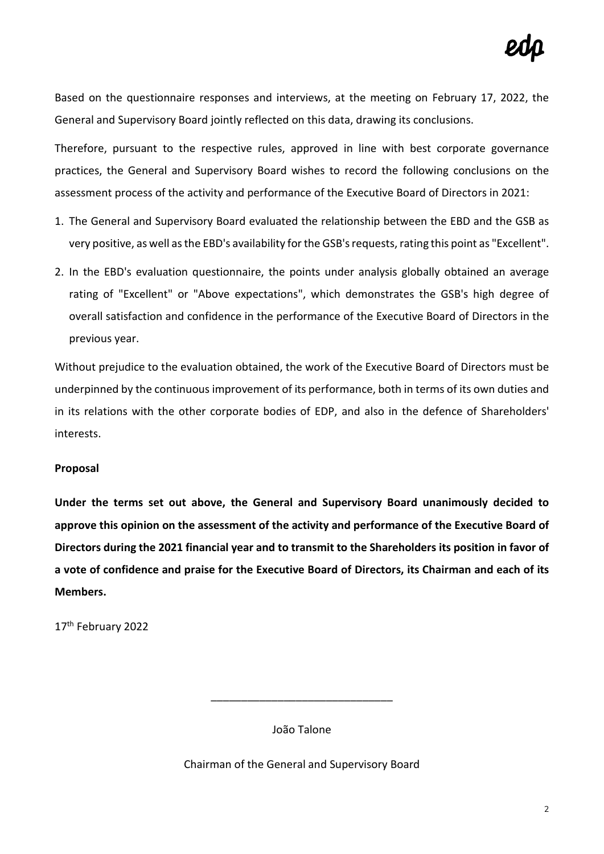Based on the questionnaire responses and interviews, at the meeting on February 17, 2022, the General and Supervisory Board jointly reflected on this data, drawing its conclusions.

Therefore, pursuant to the respective rules, approved in line with best corporate governance practices, the General and Supervisory Board wishes to record the following conclusions on the assessment process of the activity and performance of the Executive Board of Directors in 2021:

- 1. The General and Supervisory Board evaluated the relationship between the EBD and the GSB as very positive, as well as the EBD's availability for the GSB's requests, rating this point as "Excellent".
- 2. In the EBD's evaluation questionnaire, the points under analysis globally obtained an average rating of "Excellent" or "Above expectations", which demonstrates the GSB's high degree of overall satisfaction and confidence in the performance of the Executive Board of Directors in the previous year.

Without prejudice to the evaluation obtained, the work of the Executive Board of Directors must be underpinned by the continuous improvement of its performance, both in terms of its own duties and in its relations with the other corporate bodies of EDP, and also in the defence of Shareholders' interests.

## **Proposal**

**Under the terms set out above, the General and Supervisory Board unanimously decided to approve this opinion on the assessment of the activity and performance of the Executive Board of Directors during the 2021 financial year and to transmit to the Shareholders its position in favor of a vote of confidence and praise for the Executive Board of Directors, its Chairman and each of its Members.**

17th February 2022

João Talone

\_\_\_\_\_\_\_\_\_\_\_\_\_\_\_\_\_\_\_\_\_\_\_\_\_\_\_\_\_\_

Chairman of the General and Supervisory Board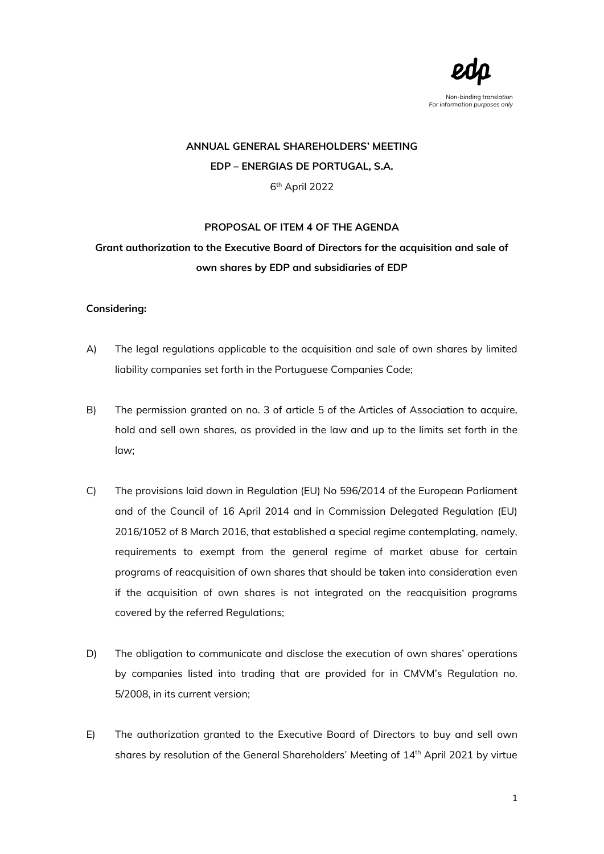

# **ANNUAL GENERAL SHAREHOLDERS' MEETING EDP – ENERGIAS DE PORTUGAL, S.A.** 6th April 2022

#### **PROPOSAL OF ITEM 4 OF THE AGENDA**

# **Grant authorization to the Executive Board of Directors for the acquisition and sale of own shares by EDP and subsidiaries of EDP**

#### **Considering:**

- A) The legal regulations applicable to the acquisition and sale of own shares by limited liability companies set forth in the Portuguese Companies Code;
- B) The permission granted on no. 3 of article 5 of the Articles of Association to acquire, hold and sell own shares, as provided in the law and up to the limits set forth in the law;
- C) The provisions laid down in Regulation (EU) No 596/2014 of the European Parliament and of the Council of 16 April 2014 and in Commission Delegated Regulation (EU) 2016/1052 of 8 March 2016, that established a special regime contemplating, namely, requirements to exempt from the general regime of market abuse for certain programs of reacquisition of own shares that should be taken into consideration even if the acquisition of own shares is not integrated on the reacquisition programs covered by the referred Regulations;
- D) The obligation to communicate and disclose the execution of own shares' operations by companies listed into trading that are provided for in CMVM's Regulation no. 5/2008, in its current version;
- E) The authorization granted to the Executive Board of Directors to buy and sell own shares by resolution of the General Shareholders' Meeting of 14<sup>th</sup> April 2021 by virtue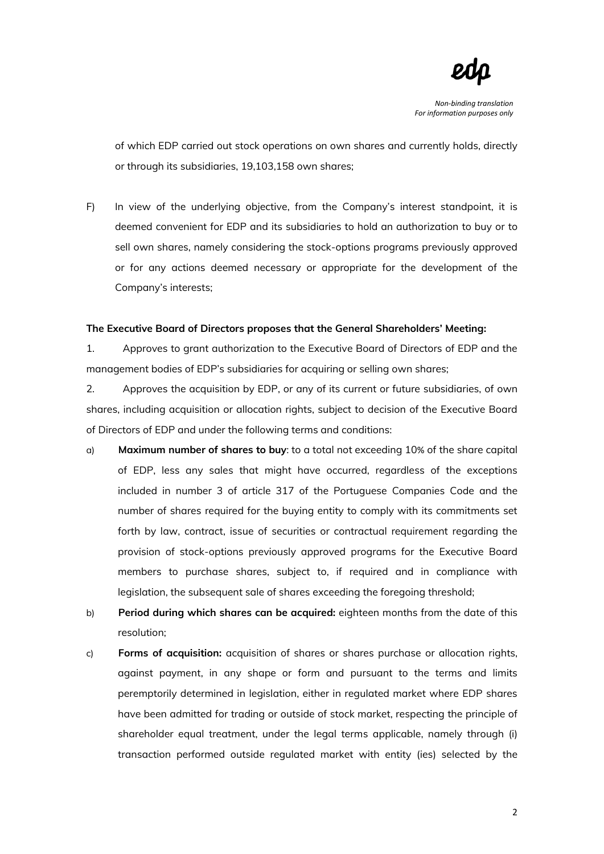

of which EDP carried out stock operations on own shares and currently holds, directly or through its subsidiaries, 19,103,158 own shares;

F) In view of the underlying objective, from the Company's interest standpoint, it is deemed convenient for EDP and its subsidiaries to hold an authorization to buy or to sell own shares, namely considering the stock-options programs previously approved or for any actions deemed necessary or appropriate for the development of the Company's interests;

#### **The Executive Board of Directors proposes that the General Shareholders' Meeting:**

1. Approves to grant authorization to the Executive Board of Directors of EDP and the management bodies of EDP's subsidiaries for acquiring or selling own shares;

2. Approves the acquisition by EDP, or any of its current or future subsidiaries, of own shares, including acquisition or allocation rights, subject to decision of the Executive Board of Directors of EDP and under the following terms and conditions:

- a) **Maximum number of shares to buy**: to a total not exceeding 10% of the share capital of EDP, less any sales that might have occurred, regardless of the exceptions included in number 3 of article 317 of the Portuguese Companies Code and the number of shares required for the buying entity to comply with its commitments set forth by law, contract, issue of securities or contractual requirement regarding the provision of stock-options previously approved programs for the Executive Board members to purchase shares, subject to, if required and in compliance with legislation, the subsequent sale of shares exceeding the foregoing threshold;
- b) **Period during which shares can be acquired:** eighteen months from the date of this resolution;
- c) **Forms of acquisition:** acquisition of shares or shares purchase or allocation rights, against payment, in any shape or form and pursuant to the terms and limits peremptorily determined in legislation, either in regulated market where EDP shares have been admitted for trading or outside of stock market, respecting the principle of shareholder equal treatment, under the legal terms applicable, namely through (i) transaction performed outside regulated market with entity (ies) selected by the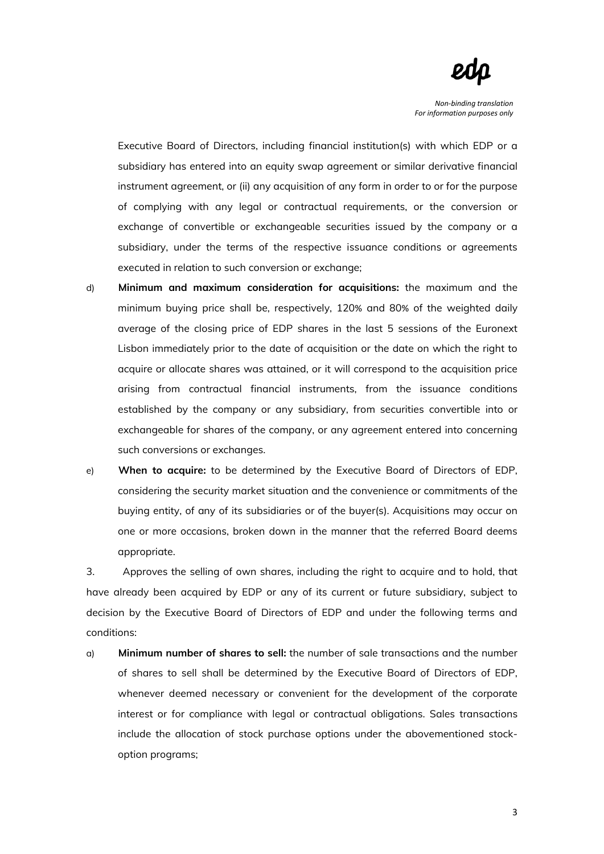

Executive Board of Directors, including financial institution(s) with which EDP or a subsidiary has entered into an equity swap agreement or similar derivative financial instrument agreement, or (ii) any acquisition of any form in order to or for the purpose of complying with any legal or contractual requirements, or the conversion or exchange of convertible or exchangeable securities issued by the company or a subsidiary, under the terms of the respective issuance conditions or agreements executed in relation to such conversion or exchange;

- d) **Minimum and maximum consideration for acquisitions:** the maximum and the minimum buying price shall be, respectively, 120% and 80% of the weighted daily average of the closing price of EDP shares in the last 5 sessions of the Euronext Lisbon immediately prior to the date of acquisition or the date on which the right to acquire or allocate shares was attained, or it will correspond to the acquisition price arising from contractual financial instruments, from the issuance conditions established by the company or any subsidiary, from securities convertible into or exchangeable for shares of the company, or any agreement entered into concerning such conversions or exchanges.
- e) **When to acquire:** to be determined by the Executive Board of Directors of EDP, considering the security market situation and the convenience or commitments of the buying entity, of any of its subsidiaries or of the buyer(s). Acquisitions may occur on one or more occasions, broken down in the manner that the referred Board deems appropriate.

3. Approves the selling of own shares, including the right to acquire and to hold, that have already been acquired by EDP or any of its current or future subsidiary, subject to decision by the Executive Board of Directors of EDP and under the following terms and conditions:

a) **Minimum number of shares to sell:** the number of sale transactions and the number of shares to sell shall be determined by the Executive Board of Directors of EDP, whenever deemed necessary or convenient for the development of the corporate interest or for compliance with legal or contractual obligations. Sales transactions include the allocation of stock purchase options under the abovementioned stockoption programs;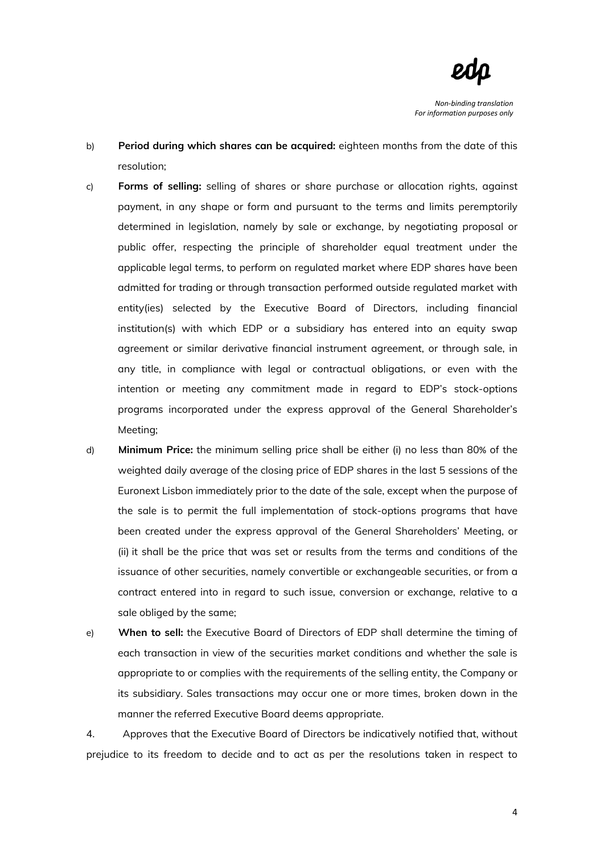

- b) **Period during which shares can be acquired:** eighteen months from the date of this resolution;
- c) **Forms of selling:** selling of shares or share purchase or allocation rights, against payment, in any shape or form and pursuant to the terms and limits peremptorily determined in legislation, namely by sale or exchange, by negotiating proposal or public offer, respecting the principle of shareholder equal treatment under the applicable legal terms, to perform on regulated market where EDP shares have been admitted for trading or through transaction performed outside regulated market with entity(ies) selected by the Executive Board of Directors, including financial institution(s) with which EDP or a subsidiary has entered into an equity swap agreement or similar derivative financial instrument agreement, or through sale, in any title, in compliance with legal or contractual obligations, or even with the intention or meeting any commitment made in regard to EDP's stock-options programs incorporated under the express approval of the General Shareholder's Meeting;
- d) **Minimum Price:** the minimum selling price shall be either (i) no less than 80% of the weighted daily average of the closing price of EDP shares in the last 5 sessions of the Euronext Lisbon immediately prior to the date of the sale, except when the purpose of the sale is to permit the full implementation of stock-options programs that have been created under the express approval of the General Shareholders' Meeting, or (ii) it shall be the price that was set or results from the terms and conditions of the issuance of other securities, namely convertible or exchangeable securities, or from a contract entered into in regard to such issue, conversion or exchange, relative to a sale obliged by the same;
- e) **When to sell:** the Executive Board of Directors of EDP shall determine the timing of each transaction in view of the securities market conditions and whether the sale is appropriate to or complies with the requirements of the selling entity, the Company or its subsidiary. Sales transactions may occur one or more times, broken down in the manner the referred Executive Board deems appropriate.

4. Approves that the Executive Board of Directors be indicatively notified that, without prejudice to its freedom to decide and to act as per the resolutions taken in respect to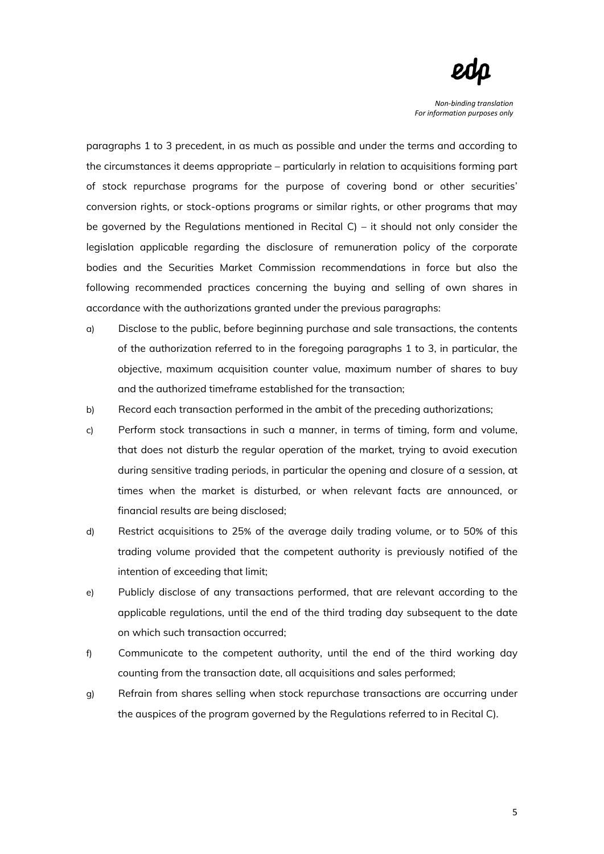

paragraphs 1 to 3 precedent, in as much as possible and under the terms and according to the circumstances it deems appropriate – particularly in relation to acquisitions forming part of stock repurchase programs for the purpose of covering bond or other securities' conversion rights, or stock-options programs or similar rights, or other programs that may be governed by the Regulations mentioned in Recital C) – it should not only consider the legislation applicable regarding the disclosure of remuneration policy of the corporate bodies and the Securities Market Commission recommendations in force but also the following recommended practices concerning the buying and selling of own shares in accordance with the authorizations granted under the previous paragraphs:

- a) Disclose to the public, before beginning purchase and sale transactions, the contents of the authorization referred to in the foregoing paragraphs 1 to 3, in particular, the objective, maximum acquisition counter value, maximum number of shares to buy and the authorized timeframe established for the transaction;
- b) Record each transaction performed in the ambit of the preceding authorizations;
- c) Perform stock transactions in such a manner, in terms of timing, form and volume, that does not disturb the regular operation of the market, trying to avoid execution during sensitive trading periods, in particular the opening and closure of a session, at times when the market is disturbed, or when relevant facts are announced, or financial results are being disclosed;
- d) Restrict acquisitions to 25% of the average daily trading volume, or to 50% of this trading volume provided that the competent authority is previously notified of the intention of exceeding that limit;
- e) Publicly disclose of any transactions performed, that are relevant according to the applicable regulations, until the end of the third trading day subsequent to the date on which such transaction occurred;
- f) Communicate to the competent authority, until the end of the third working day counting from the transaction date, all acquisitions and sales performed;
- g) Refrain from shares selling when stock repurchase transactions are occurring under the auspices of the program governed by the Regulations referred to in Recital C).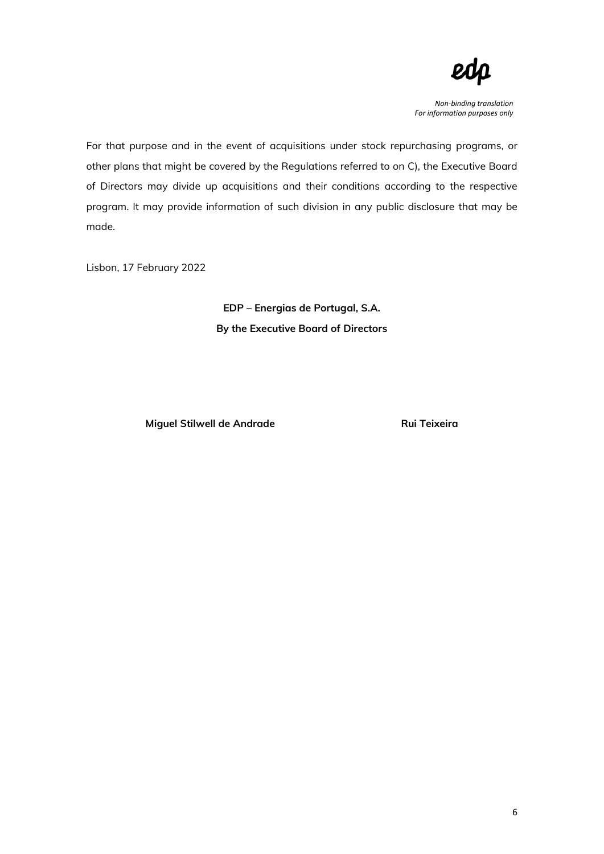

For that purpose and in the event of acquisitions under stock repurchasing programs, or other plans that might be covered by the Regulations referred to on C), the Executive Board of Directors may divide up acquisitions and their conditions according to the respective program. It may provide information of such division in any public disclosure that may be made.

Lisbon, 17 February 2022

**EDP – Energias de Portugal, S.A. By the Executive Board of Directors** 

**Miguel Stilwell de Andrade Rui Teixeira**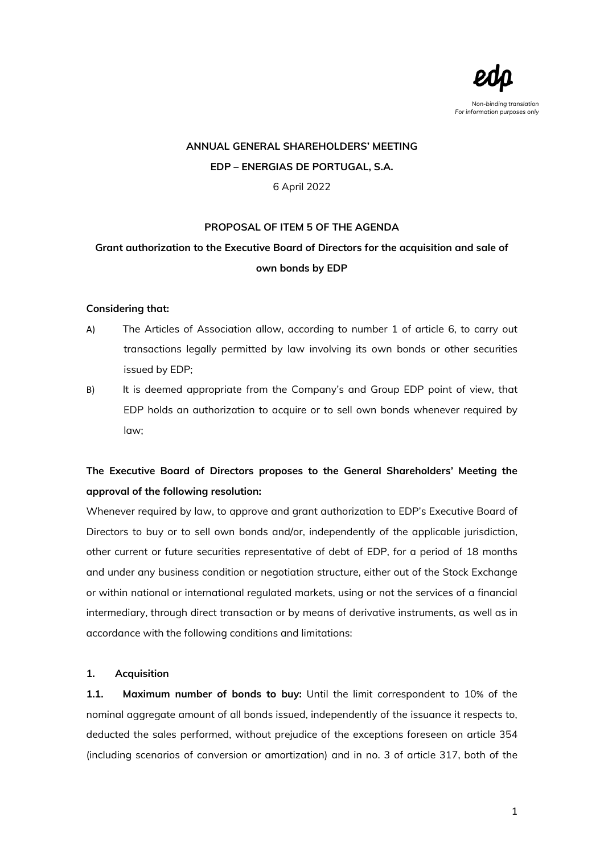

# **ANNUAL GENERAL SHAREHOLDERS' MEETING EDP – ENERGIAS DE PORTUGAL, S.A.** 6 April 2022

### **PROPOSAL OF ITEM 5 OF THE AGENDA**

## **Grant authorization to the Executive Board of Directors for the acquisition and sale of own bonds by EDP**

#### **Considering that:**

- A) The Articles of Association allow, according to number 1 of article 6, to carry out transactions legally permitted by law involving its own bonds or other securities issued by EDP;
- B) It is deemed appropriate from the Company's and Group EDP point of view, that EDP holds an authorization to acquire or to sell own bonds whenever required by law;

# **The Executive Board of Directors proposes to the General Shareholders' Meeting the approval of the following resolution:**

Whenever required by law, to approve and grant authorization to EDP's Executive Board of Directors to buy or to sell own bonds and/or, independently of the applicable jurisdiction, other current or future securities representative of debt of EDP, for a period of 18 months and under any business condition or negotiation structure, either out of the Stock Exchange or within national or international regulated markets, using or not the services of a financial intermediary, through direct transaction or by means of derivative instruments, as well as in accordance with the following conditions and limitations:

### **1. Acquisition**

**1.1. Maximum number of bonds to buy:** Until the limit correspondent to 10% of the nominal aggregate amount of all bonds issued, independently of the issuance it respects to, deducted the sales performed, without prejudice of the exceptions foreseen on article 354 (including scenarios of conversion or amortization) and in no. 3 of article 317, both of the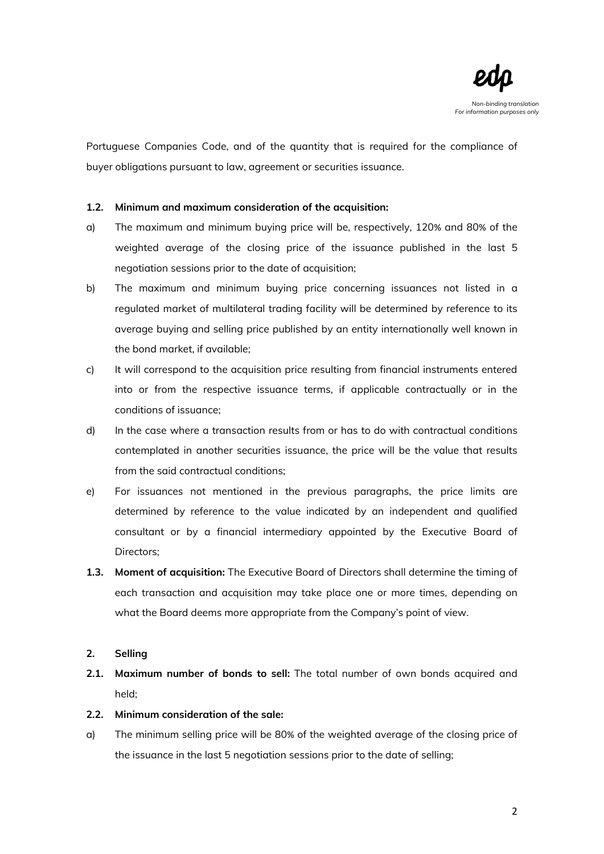

Portuguese Companies Code, and of the quantity that is required for the compliance of buyer obligations pursuant to law, agreement or securities issuance.

### **1.2. Minimum and maximum consideration of the acquisition:**

- a) The maximum and minimum buying price will be, respectively, 120% and 80% of the weighted average of the closing price of the issuance published in the last 5 negotiation sessions prior to the date of acquisition;
- b) The maximum and minimum buying price concerning issuances not listed in a regulated market of multilateral trading facility will be determined by reference to its average buying and selling price published by an entity internationally well known in the bond market, if available;
- c) It will correspond to the acquisition price resulting from financial instruments entered into or from the respective issuance terms, if applicable contractually or in the conditions of issuance;
- d) In the case where a transaction results from or has to do with contractual conditions contemplated in another securities issuance, the price will be the value that results from the said contractual conditions;
- e) For issuances not mentioned in the previous paragraphs, the price limits are determined by reference to the value indicated by an independent and qualified consultant or by a financial intermediary appointed by the Executive Board of Directors;
- **1.3. Moment of acquisition:** The Executive Board of Directors shall determine the timing of each transaction and acquisition may take place one or more times, depending on what the Board deems more appropriate from the Company's point of view.

### **2. Selling**

**2.1. Maximum number of bonds to sell:** The total number of own bonds acquired and held;

#### **2.2. Minimum consideration of the sale:**

a) The minimum selling price will be 80% of the weighted average of the closing price of the issuance in the last 5 negotiation sessions prior to the date of selling;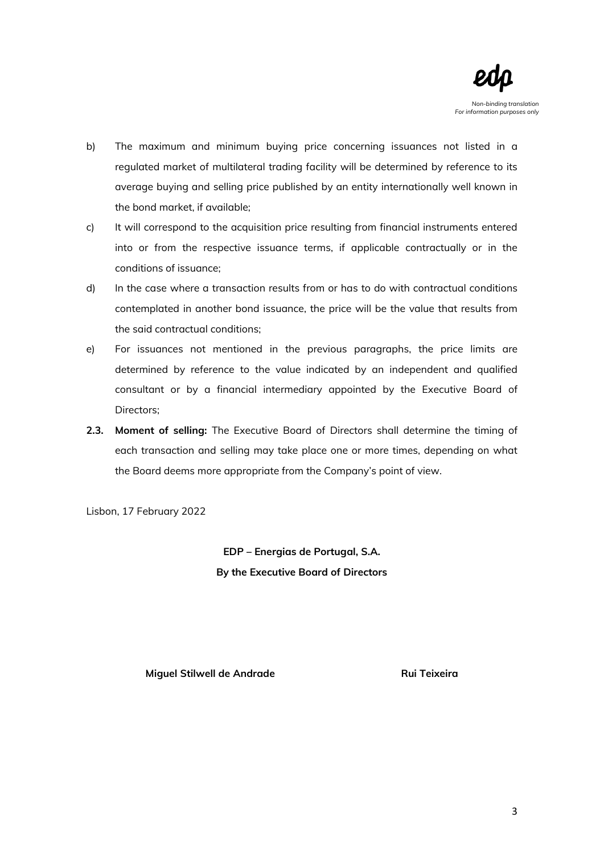

- b) The maximum and minimum buying price concerning issuances not listed in a regulated market of multilateral trading facility will be determined by reference to its average buying and selling price published by an entity internationally well known in the bond market, if available;
- c) It will correspond to the acquisition price resulting from financial instruments entered into or from the respective issuance terms, if applicable contractually or in the conditions of issuance;
- d) In the case where a transaction results from or has to do with contractual conditions contemplated in another bond issuance, the price will be the value that results from the said contractual conditions;
- e) For issuances not mentioned in the previous paragraphs, the price limits are determined by reference to the value indicated by an independent and qualified consultant or by a financial intermediary appointed by the Executive Board of Directors;
- **2.3. Moment of selling:** The Executive Board of Directors shall determine the timing of each transaction and selling may take place one or more times, depending on what the Board deems more appropriate from the Company's point of view.

Lisbon, 17 February 2022

**EDP – Energias de Portugal, S.A. By the Executive Board of Directors** 

**Miguel Stilwell de Andrade Rui Teixeira**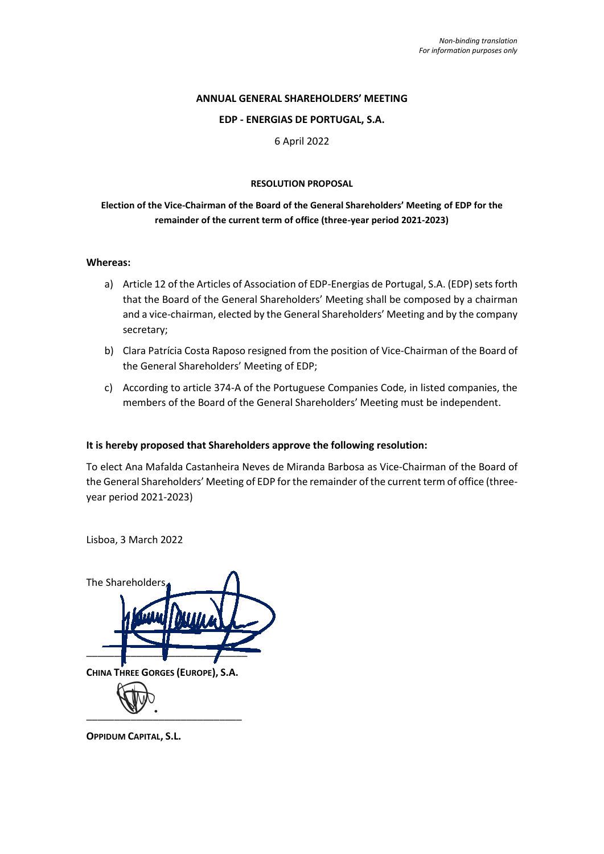## **ANNUAL GENERAL SHAREHOLDERS' MEETING**

#### **EDP - ENERGIAS DE PORTUGAL, S.A.**

6 April 2022

#### **RESOLUTION PROPOSAL**

## **Election of the Vice-Chairman of the Board of the General Shareholders' Meeting of EDP for the remainder of the current term of office (three-year period 2021-2023)**

#### **Whereas:**

- a) Article 12 of the Articles of Association of EDP-Energias de Portugal, S.A. (EDP) sets forth that the Board of the General Shareholders' Meeting shall be composed by a chairman and a vice-chairman, elected by the General Shareholders' Meeting and by the company secretary;
- b) Clara Patrícia Costa Raposo resigned from the position of Vice-Chairman of the Board of the General Shareholders' Meeting of EDP;
- c) According to article 374-A of the Portuguese Companies Code, in listed companies, the members of the Board of the General Shareholders' Meeting must be independent.

### **It is hereby proposed that Shareholders approve the following resolution:**

To elect Ana Mafalda Castanheira Neves de Miranda Barbosa as Vice-Chairman of the Board of the General Shareholders' Meeting of EDP for the remainder of the current term of office (threeyear period 2021-2023)

Lisboa, 3 March 2022



**OPPIDUM CAPITAL, S.L.**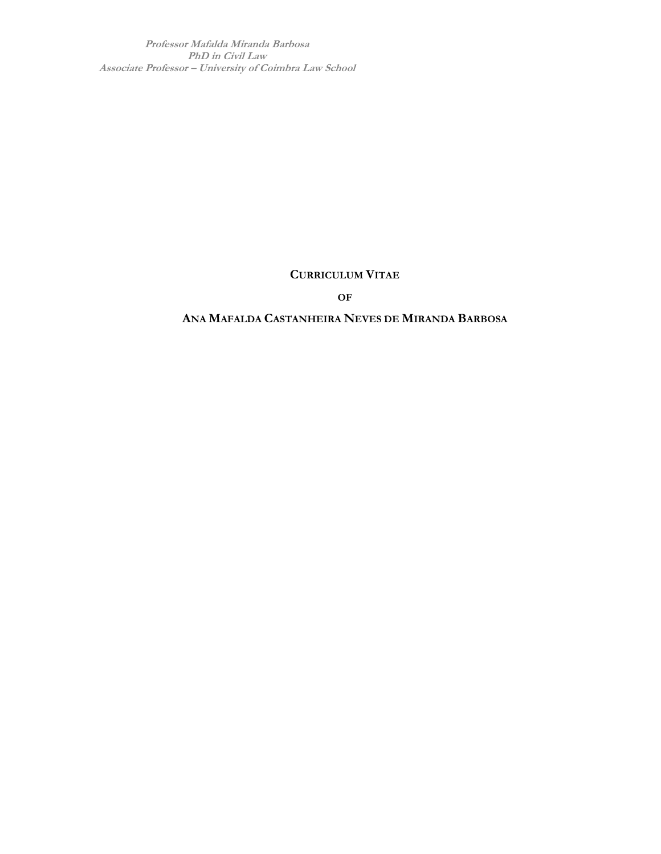**Professor Mafalda Miranda Barbosa PhD in Civil Law Associate Professor – University of Coimbra Law School**

## **CURRICULUM VITAE**

**OF**

## **ANA MAFALDA CASTANHEIRA NEVES DE MIRANDA BARBOSA**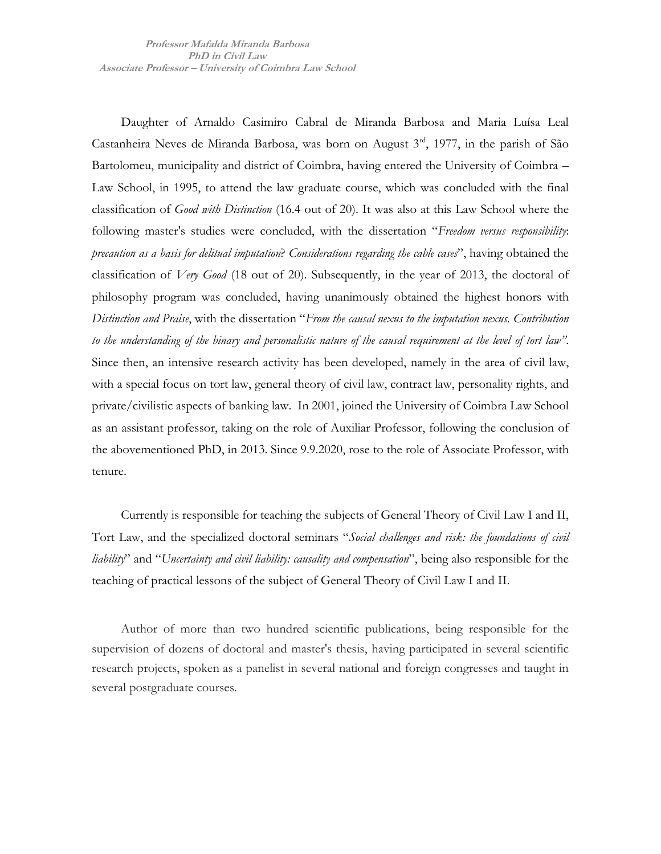Daughter of Arnaldo Casimiro Cabral de Miranda Barbosa and Maria Luísa Leal Castanheira Neves de Miranda Barbosa, was born on August 3rd, 1977, in the parish of São Bartolomeu, municipality and district of Coimbra, having entered the University of Coimbra – Law School, in 1995, to attend the law graduate course, which was concluded with the final classification of *Good with Distinction* (16.4 out of 20). It was also at this Law School where the following master's studies were concluded, with the dissertation "*Freedom versus responsibility*: *precaution as a basis for delitual imputation*? *Considerations regarding the cable cases*", having obtained the classification of *Very Good* (18 out of 20). Subsequently, in the year of 2013, the doctoral of philosophy program was concluded, having unanimously obtained the highest honors with *Distinction and Praise*, with the dissertation "*From the causal nexus to the imputation nexus. Contribution to the understanding of the binary and personalistic nature of the causal requirement at the level of tort law"*. Since then, an intensive research activity has been developed, namely in the area of civil law, with a special focus on tort law, general theory of civil law, contract law, personality rights, and private/civilistic aspects of banking law. In 2001, joined the University of Coimbra Law School as an assistant professor, taking on the role of Auxiliar Professor, following the conclusion of the abovementioned PhD, in 2013. Since 9.9.2020, rose to the role of Associate Professor, with tenure.

Currently is responsible for teaching the subjects of General Theory of Civil Law I and II, Tort Law, and the specialized doctoral seminars "*Social challenges and risk: the foundations of civil liability*" and "*Uncertainty and civil liability: causality and compensation*", being also responsible for the teaching of practical lessons of the subject of General Theory of Civil Law I and II.

Author of more than two hundred scientific publications, being responsible for the supervision of dozens of doctoral and master's thesis, having participated in several scientific research projects, spoken as a panelist in several national and foreign congresses and taught in several postgraduate courses.